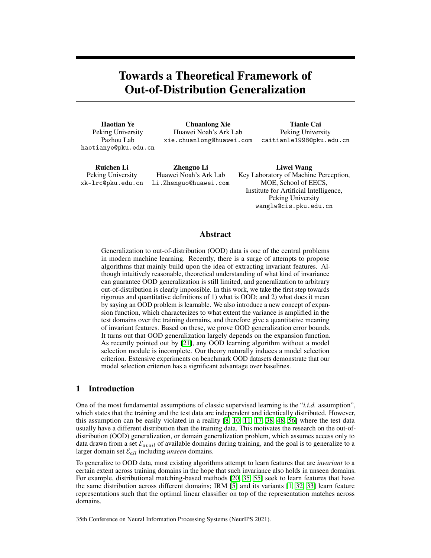# Towards a Theoretical Framework of Out-of-Distribution Generalization

Haotian Ye Peking University Pazhou Lab haotianye@pku.edu.cn

Chuanlong Xie Huawei Noah's Ark Lab xie.chuanlong@huawei.com

Tianle Cai Peking University caitianle1998@pku.edu.cn

Ruichen Li Peking University xk-lrc@pku.edu.cn

Zhenguo Li Huawei Noah's Ark Lab Li.Zhenguo@huawei.com

Liwei Wang Key Laboratory of Machine Perception, MOE, School of EECS, Institute for Artificial Intelligence, Peking University wanglw@cis.pku.edu.cn

# Abstract

Generalization to out-of-distribution (OOD) data is one of the central problems in modern machine learning. Recently, there is a surge of attempts to propose algorithms that mainly build upon the idea of extracting invariant features. Although intuitively reasonable, theoretical understanding of what kind of invariance can guarantee OOD generalization is still limited, and generalization to arbitrary out-of-distribution is clearly impossible. In this work, we take the first step towards rigorous and quantitative definitions of 1) what is OOD; and 2) what does it mean by saying an OOD problem is learnable. We also introduce a new concept of expansion function, which characterizes to what extent the variance is amplified in the test domains over the training domains, and therefore give a quantitative meaning of invariant features. Based on these, we prove OOD generalization error bounds. It turns out that OOD generalization largely depends on the expansion function. As recently pointed out by [\[21\]](#page-10-0), any OOD learning algorithm without a model selection module is incomplete. Our theory naturally induces a model selection criterion. Extensive experiments on benchmark OOD datasets demonstrate that our model selection criterion has a significant advantage over baselines.

## <span id="page-0-0"></span>1 Introduction

One of the most fundamental assumptions of classic supervised learning is the "*i.i.d.* assumption", which states that the training and the test data are independent and identically distributed. However, this assumption can be easily violated in a reality [\[8,](#page-9-0) [10,](#page-9-1) [11,](#page-9-2) [17,](#page-10-1) [38,](#page-11-0) [48,](#page-11-1) [56\]](#page-11-2) where the test data usually have a different distribution than the training data. This motivates the research on the out-ofdistribution (OOD) generalization, or domain generalization problem, which assumes access only to data drawn from a set  $\mathcal{E}_{avail}$  of available domains during training, and the goal is to generalize to a larger domain set  $\mathcal{E}_{all}$  including *unseen* domains.

To generalize to OOD data, most existing algorithms attempt to learn features that are *invariant* to a certain extent across training domains in the hope that such invariance also holds in unseen domains. For example, distributional matching-based methods [\[20,](#page-10-2) [35,](#page-10-3) [55\]](#page-11-3) seek to learn features that have the same distribution across different domains; IRM [\[5\]](#page-9-3) and its variants [\[1,](#page-9-4) [32,](#page-10-4) [33\]](#page-10-5) learn feature representations such that the optimal linear classifier on top of the representation matches across domains.

35th Conference on Neural Information Processing Systems (NeurIPS 2021).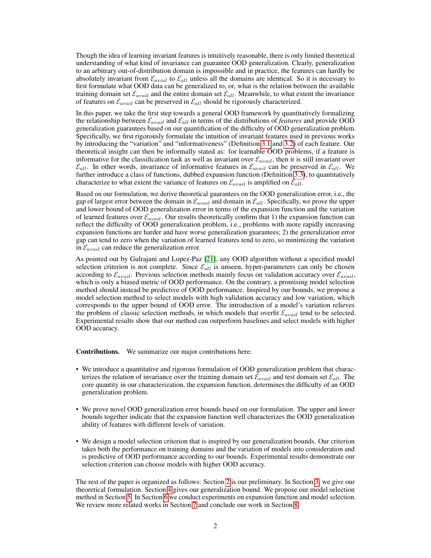Though the idea of learning invariant features is intuitively reasonable, there is only limited theoretical understanding of what kind of invariance can guarantee OOD generalization. Clearly, generalization to an arbitrary out-of-distribution domain is impossible and in practice, the features can hardly be absolutely invariant from  $\mathcal{E}_{avail}$  to  $\mathcal{E}_{all}$  unless all the domains are identical. So it is necessary to first formulate what OOD data can be generalized to, or, what is the relation between the available training domain set  $\mathcal{E}_{avail}$  and the entire domain set  $\mathcal{E}_{all}$ . Meanwhile, to what extent the invariance of features on  $\mathcal{E}_{avail}$  can be preserved in  $\mathcal{E}_{all}$  should be rigorously characterized.

In this paper, we take the first step towards a general OOD framework by quantitatively formalizing the relationship between  $\mathcal{E}_{avail}$  and  $\mathcal{E}_{all}$  in terms of the distributions of *features* and provide OOD generalization guarantees based on our quantification of the difficulty of OOD generalization problem. Specifically, we first rigorously formulate the intuition of invariant features used in previous works by introducing the "variation" and "informativeness" (Definition [3.1](#page-2-0) and [3.2\)](#page-2-1) of each feature. Our theoretical insight can then be informally stated as: for learnable OOD problems, if a feature is informative for the classification task as well as invariant over  $\mathcal{E}_{avail}$ , then it is still invariant over  $\mathcal{E}_{all}$ . In other words, invariance of informative features in  $\mathcal{E}_{avail}$  can be preserved in  $\mathcal{E}_{all}$ . We further introduce a class of functions, dubbed expansion function (Definition [3.3\)](#page-3-0), to quantitatively characterize to what extent the variance of features on  $\mathcal{E}_{avail}$  is amplified on  $\mathcal{E}_{all}$ .

Based on our formulation, we derive theoretical guarantees on the OOD generalization error, i.e., the gap of largest error between the domain in  $\mathcal{E}_{avail}$  and domain in  $\mathcal{E}_{all}$ . Specifically, we prove the upper and lower bound of OOD generalization error in terms of the expansion function and the variation of learned features over  $\mathcal{E}_{avail}$ . Our results theoretically confirm that 1) the expansion function can reflect the difficulty of OOD generalization problem, i.e., problems with more rapidly increasing expansion functions are harder and have worse generalization guarantees; 2) the generalization error gap can tend to zero when the variation of learned features tend to zero, so minimizing the variation in  $\mathcal{E}_{avail}$  can reduce the generalization error.

As pointed out by Gulrajani and Lopez-Paz [\[21\]](#page-10-0), any OOD algorithm without a specified model selection criterion is not complete. Since  $\mathcal{E}_{all}$  is unseen, hyper-parameters can only be chosen according to  $\mathcal{E}_{avail}$ . Previous selection methods mainly focus on validation accuracy over  $\mathcal{E}_{avail}$ , which is only a biased metric of OOD performance. On the contrary, a promising model selection method should instead be predictive of OOD performance. Inspired by our bounds, we propose a model selection method to select models with high validation accuracy and low variation, which corresponds to the upper bound of OOD error. The introduction of a model's variation relieves the problem of classic selection methods, in which models that overfit  $\mathcal{E}_{avail}$  tend to be selected. Experimental results show that our method can outperform baselines and select models with higher OOD accuracy.

Contributions. We summarize our major contributions here:

- We introduce a quantitative and rigorous formulation of OOD generalization problem that characterizes the relation of invariance over the training domain set  $\mathcal{E}_{avail}$  and test domain set  $\mathcal{E}_{all}$ . The core quantity in our characterization, the expansion function, determines the difficulty of an OOD generalization problem.
- We prove novel OOD generalization error bounds based on our formulation. The upper and lower bounds together indicate that the expansion function well characterizes the OOD generalization ability of features with different levels of variation.
- We design a model selection criterion that is inspired by our generalization bounds. Our criterion takes both the performance on training domains and the variation of models into consideration and is predictive of OOD performance according to our bounds. Experimental results demonstrate our selection criterion can choose models with higher OOD accuracy.

The rest of the paper is organized as follows: Section [2](#page-2-2) is our preliminary. In Section [3,](#page-2-3) we give our theoretical formulation. Section [4](#page-4-0) gives our generalization bound. We propose our model selection method in Section [5.](#page-6-0) In Section [6](#page-7-0) we conduct experiments on expansion function and model selection. We review more related works in Section [7](#page-8-0) and conclude our work in Section [8.](#page-9-5)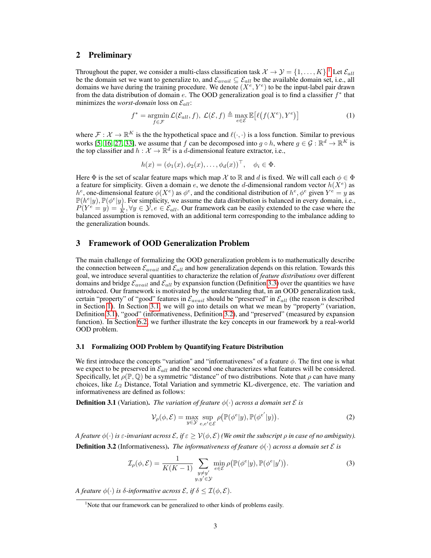## <span id="page-2-2"></span>2 Preliminary

Throughout the paper, we consider a multi-class classification task  $\mathcal{X} \to \mathcal{Y} = \{1, \dots, K\}$  $\mathcal{X} \to \mathcal{Y} = \{1, \dots, K\}$  $\mathcal{X} \to \mathcal{Y} = \{1, \dots, K\}$ .<sup>1</sup> Let  $\mathcal{E}_{all}$ be the domain set we want to generalize to, and  $\mathcal{E}_{avail} \subseteq \mathcal{E}_{all}$  be the available domain set, i.e., all domains we have during the training procedure. We denote  $(X^e, Y^e)$  to be the input-label pair drawn from the data distribution of domain e. The OOD generalization goal is to find a classifier  $f^*$  that minimizes the *worst-domain* loss on  $\mathcal{E}_{all}$ :

$$
f^* = \operatorname*{argmin}_{f \in \mathcal{F}} \mathcal{L}(\mathcal{E}_{all}, f), \ \mathcal{L}(\mathcal{E}, f) \triangleq \max_{e \in \mathcal{E}} \mathbb{E}\big[\ell(f(X^e), Y^e)\big] \tag{1}
$$

where  $\mathcal{F}: \mathcal{X} \to \mathbb{R}^K$  is the the hypothetical space and  $\ell(\cdot, \cdot)$  is a loss function. Similar to previous works [\[5,](#page-9-3) [16,](#page-10-6) [27,](#page-10-7) [33\]](#page-10-5), we assume that f can be decomposed into  $g \circ h$ , where  $g \in \mathcal{G} : \mathbb{R}^d \to \mathbb{R}^K$  is the top classifier and  $h: \mathcal{X} \to \mathbb{R}^d$  is a d-dimensional feature extractor, i.e.,

$$
h(x) = (\phi_1(x), \phi_2(x), \dots, \phi_d(x))^\top, \quad \phi_i \in \Phi.
$$

Here  $\Phi$  is the set of scalar feature maps which map X to R and d is fixed. We will call each  $\phi \in \Phi$ a feature for simplicity. Given a domain e, we denote the d-dimensional random vector  $h(X^e)$  as h<sup>e</sup>, one-dimensional feature  $\phi(X^e)$  as  $\phi^e$ , and the conditional distribution of  $h^e, \phi^e$  given  $Y^e = y$  as  $\mathbb{P}(h^{e}|y), \mathbb{P}(\phi^{e}|y)$ . For simplicity, we assume the data distribution is balanced in every domain, i.e.,  $P(Y^e = y) = \frac{1}{K}$ ,  $\forall y \in \mathcal{Y}, e \in \mathcal{E}_{all}$ . Our framework can be easily extended to the case where the balanced assumption is removed, with an additional term corresponding to the imbalance adding to the generalization bounds.

# <span id="page-2-3"></span>3 Framework of OOD Generalization Problem

The main challenge of formalizing the OOD generalization problem is to mathematically describe the connection between  $\mathcal{E}_{avail}$  and  $\mathcal{E}_{all}$  and how generalization depends on this relation. Towards this goal, we introduce several quantities to characterize the relation of *feature distributions* over different domains and bridge  $\mathcal{E}_{avail}$  and  $\mathcal{E}_{all}$  by expansion function (Definition [3.3\)](#page-3-0) over the quantities we have introduced. Our framework is motivated by the understanding that, in an OOD generalization task, certain "property" of "good" features in  $\mathcal{E}_{avail}$  should be "preserved" in  $\mathcal{E}_{all}$  (the reason is described in Section [1\)](#page-0-0). In Section [3.1,](#page-2-5) we will go into details on what we mean by "property" (variation, Definition [3.1\)](#page-2-0), "good" (informativeness, Definition [3.2\)](#page-2-1), and "preserved" (measured by expansion function). In Section [6.2,](#page-8-1) we further illustrate the key concepts in our framework by a real-world OOD problem.

#### <span id="page-2-5"></span>3.1 Formalizing OOD Problem by Quantifying Feature Distribution

We first introduce the concepts "variation" and "informativeness" of a feature  $\phi$ . The first one is what we expect to be preserved in  $\mathcal{E}_{all}$  and the second one characterizes what features will be considered. Specifically, let  $\rho(\mathbb{P}, \mathbb{Q})$  be a symmetric "distance" of two distributions. Note that  $\rho$  can have many choices, like  $L_2$  Distance, Total Variation and symmetric KL-divergence, etc. The variation and informativeness are defined as follows:

<span id="page-2-0"></span>**Definition 3.1** (Variation). *The variation of feature*  $\phi(\cdot)$  *across a domain set*  $\mathcal{E}$  *is* 

$$
\mathcal{V}_{\rho}(\phi, \mathcal{E}) = \max_{y \in \mathcal{Y}} \sup_{e, e' \in \mathcal{E}} \rho \big( \mathbb{P}(\phi^e | y), \mathbb{P}(\phi^{e'} | y) \big). \tag{2}
$$

<span id="page-2-1"></span>*A feature*  $\phi(\cdot)$  *is*  $\varepsilon$ *-invariant across*  $\mathcal{E},$  *if*  $\varepsilon \geq \mathcal{V}(\phi, \mathcal{E})$  *(We omit the subscript*  $\rho$  *in case of no ambiguity).* **Definition 3.2** (Informativeness). *The informativeness of feature*  $\phi(\cdot)$  *across a domain set*  $\mathcal{E}$  *is* 

$$
\mathcal{I}_{\rho}(\phi,\mathcal{E}) = \frac{1}{K(K-1)} \sum_{\substack{y \neq y'\\y,y' \in \mathcal{Y}}} \min_{e \in \mathcal{E}} \rho\big(\mathbb{P}(\phi^e|y), \mathbb{P}(\phi^e|y')\big). \tag{3}
$$

*A feature*  $\phi(\cdot)$  *is*  $\delta$ *-informative across*  $\mathcal{E}$ *, if*  $\delta \leq \mathcal{I}(\phi, \mathcal{E})$ *.* 

<span id="page-2-4"></span><sup>&</sup>lt;sup>1</sup>Note that our framework can be generalized to other kinds of problems easily.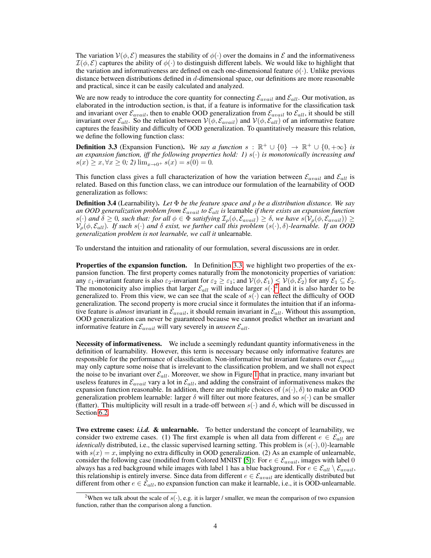The variation  $V(\phi, \mathcal{E})$  measures the stability of  $\phi(\cdot)$  over the domains in  $\mathcal{E}$  and the informativeness  $\mathcal{I}(\phi,\mathcal{E})$  captures the ability of  $\phi(\cdot)$  to distinguish different labels. We would like to highlight that the variation and informativeness are defined on each one-dimensional feature  $\phi(\cdot)$ . Unlike previous distance between distributions defined in d-dimensional space, our definitions are more reasonable and practical, since it can be easily calculated and analyzed.

We are now ready to introduce the core quantity for connecting  $\mathcal{E}_{avail}$  and  $\mathcal{E}_{all}$ . Our motivation, as elaborated in the introduction section, is that, if a feature is informative for the classification task and invariant over  $\mathcal{E}_{avail}$ , then to enable OOD generalization from  $\mathcal{E}_{avail}$  to  $\mathcal{E}_{all}$ , it should be still invariant over  $\mathcal{E}_{all}$ . So the relation between  $V(\phi, \mathcal{E}_{avail})$  and  $V(\phi, \mathcal{E}_{all})$  of an informative feature captures the feasibility and difficulty of OOD generalization. To quantitatively measure this relation, we define the following function class:

<span id="page-3-0"></span>**Definition 3.3** (Expansion Function). *We say a function*  $s : \mathbb{R}^+ \cup \{0\} \to \mathbb{R}^+ \cup \{0, +\infty\}$  *is an expansion function, iff the following properties hold: 1)*  $s(·)$  *is monotonically increasing and*  $s(x) \geq x, \forall x \geq 0$ ; 2)  $\lim_{x \to 0^+} s(x) = s(0) = 0$ .

This function class gives a full characterization of how the variation between  $\mathcal{E}_{avail}$  and  $\mathcal{E}_{all}$  is related. Based on this function class, we can introduce our formulation of the learnability of OOD generalization as follows:

Definition 3.4 (Learnability). *Let* Φ *be the feature space and* ρ *be a distribution distance. We say an OOD generalization problem from* Eavail *to* Eall *is* learnable *if there exists an expansion function*  $s(\cdot)$  and  $\delta \geq 0$ , such that: for all  $\phi \in \Phi$  satisfying  $\mathcal{I}_\rho(\phi, \mathcal{E}_{avail}) \geq \delta$ , we have  $s(\mathcal{V}_\rho(\phi, \mathcal{E}_{avail})) \geq$  $\mathcal{V}_\rho(\phi, \mathcal{E}_{all})$ *. If such s*(·) and  $\delta$  exist, we further call this problem  $(s(\cdot), \delta)$ -learnable. If an OOD *generalization problem is not learnable, we call it* unlearnable*.*

To understand the intuition and rationality of our formulation, several discussions are in order.

Properties of the expansion function. In Definition [3.3,](#page-3-0) we highlight two properties of the expansion function. The first property comes naturally from the monotonicity properties of variation: any  $\varepsilon_1$ -invariant feature is also  $\varepsilon_2$ -invariant for  $\varepsilon_2 \ge \varepsilon_1$ ; and  $\mathcal{V}(\phi, \mathcal{E}_1) \le \mathcal{V}(\phi, \mathcal{E}_2)$  for any  $\mathcal{E}_1 \subseteq \mathcal{E}_2$ . The monotonicity also implies that larger  $\mathcal{E}_{all}$  will induce larger  $s(\cdot)^2$  $s(\cdot)^2$  and it is also harder to be generalized to. From this view, we can see that the scale of  $s(\cdot)$  can reflect the difficulty of OOD generalization. The second property is more crucial since it formulates the intuition that if an informative feature is *almost* invariant in  $\mathcal{E}_{avail}$ , it should remain invariant in  $\mathcal{E}_{all}$ . Without this assumption, OOD generalization can never be guaranteed because we cannot predict whether an invariant and informative feature in  $\mathcal{E}_{avail}$  will vary severely in *unseen*  $\mathcal{E}_{all}$ .

Necessity of informativeness. We include a seemingly redundant quantity informativeness in the definition of learnability. However, this term is necessary because only informative features are responsible for the performance of classification. Non-informative but invariant features over  $\mathcal{E}_{avail}$ may only capture some noise that is irrelevant to the classification problem, and we shall not expect the noise to be invariant over  $\mathcal{E}_{all}$ . Moreover, we show in Figure [1](#page-8-2) that in practice, many invariant but useless features in  $\mathcal{E}_{avail}$  vary a lot in  $\mathcal{E}_{all}$ , and adding the constraint of informativeness makes the expansion function reasonable. In addition, there are multiple choices of  $(s(\cdot), \delta)$  to make an OOD generalization problem learnable: larger  $\delta$  will filter out more features, and so  $s(\cdot)$  can be smaller (flatter). This multiplicity will result in a trade-off between  $s(\cdot)$  and  $\delta$ , which will be discussed in Section [6.2.](#page-8-1)

Two extreme cases: *i.i.d.* & unlearnable. To better understand the concept of learnability, we consider two extreme cases. (1) The first example is when all data from different  $e \in \mathcal{E}_{all}$  are *identically* distributed, i.e., the classic supervised learning setting. This problem is  $(s(\cdot), 0)$ -learnable with  $s(x) = x$ , implying no extra difficulty in OOD generalization. (2) As an example of unlearnable, consider the following case (modified from Colored MNIST [\[5\]](#page-9-3)): For  $e \in \mathcal{E}_{avail}$ , images with label 0 always has a red background while images with label 1 has a blue background. For  $e \in \mathcal{E}_{all} \setminus \mathcal{E}_{avail}$ , this relationship is entirely inverse. Since data from different  $e \in \mathcal{E}_{avail}$  are identically distributed but different from other  $e \in \mathcal{E}_{all}$ , no expansion function can make it learnable, i.e., it is OOD-unlearnable.

<span id="page-3-1"></span><sup>&</sup>lt;sup>2</sup>When we talk about the scale of  $s(\cdot)$ , e.g. it is larger / smaller, we mean the comparison of two expansion function, rather than the comparison along a function.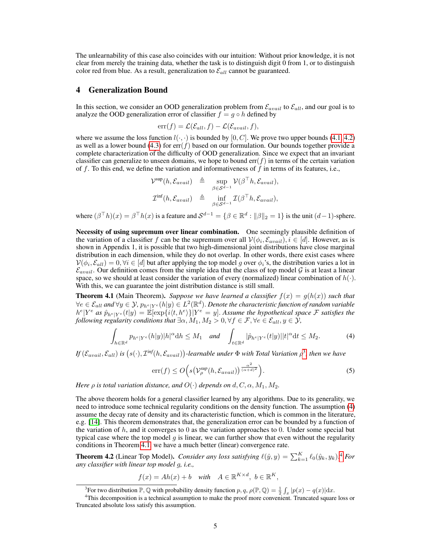The unlearnability of this case also coincides with our intuition: Without prior knowledge, it is not clear from merely the training data, whether the task is to distinguish digit 0 from 1, or to distinguish color red from blue. As a result, generalization to  $\mathcal{E}_{all}$  cannot be guaranteed.

## <span id="page-4-0"></span>4 Generalization Bound

In this section, we consider an OOD generalization problem from  $\mathcal{E}_{avail}$  to  $\mathcal{E}_{all}$ , and our goal is to analyze the OOD generalization error of classifier  $f = g \circ h$  defined by

$$
\mathrm{err}(f) = \mathcal{L}(\mathcal{E}_{all}, f) - \mathcal{L}(\mathcal{E}_{avail}, f),
$$

where we assume the loss function  $l(\cdot, \cdot)$  is bounded by [0, C]. We prove two upper bounds [\(4.1,](#page-4-1) [4.2\)](#page-4-2) as well as a lower bound [\(4.3\)](#page-5-0) for  $err(f)$  based on our formulation. Our bounds together provide a complete characterization of the difficulty of OOD generalization. Since we expect that an invariant classifier can generalize to unseen domains, we hope to bound  $err(f)$  in terms of the certain variation of f. To this end, we define the variation and informativeness of f in terms of its features, i.e.,

$$
\mathcal{V}^{\text{sup}}(h, \mathcal{E}_{avail}) \triangleq \sup_{\beta \in \mathcal{S}^{d-1}} \mathcal{V}(\beta^{\top}h, \mathcal{E}_{avail}),
$$
  

$$
\mathcal{I}^{\text{inf}}(h, \mathcal{E}_{avail}) \triangleq \inf_{\beta \in \mathcal{S}^{d-1}} \mathcal{I}(\beta^{\top}h, \mathcal{E}_{avail}),
$$

where  $(\beta^{\top} h)(x) = \beta^{\top} h(x)$  is a feature and  $\mathcal{S}^{d-1} = \{\beta \in \mathbb{R}^d : ||\beta||_2 = 1\}$  is the unit  $(d-1)$ -sphere.

Necessity of using supremum over linear combination. One seemingly plausible definition of the variation of a classifier f can be the supremum over all  $V(\phi_i, \mathcal{E}_{avail}), i \in [d]$ . However, as is shown in Appendix 1, it is possible that two high-dimensional joint distributions have close marginal distribution in each dimension, while they do not overlap. In other words, there exist cases where  $\mathcal{V}(\phi_i, \mathcal{E}_{all}) = 0, \forall i \in [d]$  but after applying the top model g over  $\phi_i$ 's, the distribution varies a lot in  $\mathcal{E}_{avail}$ . Our definition comes from the simple idea that the class of top model  $\mathcal G$  is at least a linear space, so we should at least consider the variation of every (normalized) linear combination of  $h(\cdot)$ . With this, we can guarantee the joint distribution distance is still small.

<span id="page-4-1"></span>**Theorem 4.1** (Main Theorem). *Suppose we have learned a classifier*  $f(x) = g(h(x))$  *such that*  $\forall e \in \mathcal{E}_{all}$  and  $\forall y \in \mathcal{Y}$ ,  $p_{h^e|Y^e}(h|y) \in L^2(\mathbb{R}^d)$ . Denote the characteristic function of random variable  $[h^e|Y^e$  as  $\hat{p}_{h^e|Y^e}(t|y) = \mathbb{E}[\exp\{i\langle t, h^e \rangle\}]Y^e = y]$ . Assume the hypothetical space F satisfies the *following regularity conditions that*  $\exists \alpha, M_1, M_2 > 0, \forall f \in \mathcal{F}, \forall e \in \mathcal{E}_{all}, y \in \mathcal{Y}$ ,

$$
\int_{h\in\mathbb{R}^d} p_{h^e|Y^e}(h|y)|h|^{\alpha}dh \le M_1 \quad \text{and} \quad \int_{t\in\mathbb{R}^d} |\hat{p}_{h^e|Y^e}(t|y)||t|^{\alpha}dt \le M_2. \tag{4}
$$

 $If (\mathcal{E}_{avail}, \mathcal{E}_{all})$  is  $(s(\cdot), \mathcal{I}^{inf}(h, \mathcal{E}_{avail}))$ -learnable under  $\Phi$  with Total Variation  $\rho^3$  $\rho^3$ , then we have

<span id="page-4-4"></span>
$$
\operatorname{err}(f) \le O\Big(s\big(\mathcal{V}_{\rho}^{\text{sup}}(h, \mathcal{E}_{avail})\big)^{\frac{\alpha^2}{(\alpha+d)^2}}\Big). \tag{5}
$$

*Here*  $\rho$  *is total variation distance, and*  $O(·)$  *depends on*  $d, C, \alpha, M_1, M_2$ .

The above theorem holds for a general classifier learned by any algorithms. Due to its generality, we need to introduce some technical regularity conditions on the density function. The assumption [\(4\)](#page-4-4) assume the decay rate of density and its characteristic function, which is common in the literature, e.g. [\[14\]](#page-9-6). This theorem demonstrates that, the generalization error can be bounded by a function of the variation of  $h$ , and it converges to 0 as the variation approaches to 0. Under some special but typical case where the top model  $q$  is linear, we can further show that even without the regularity conditions in Theorem [4.1,](#page-4-1) we have a much better (linear) convergence rate.

<span id="page-4-2"></span>**Theorem [4](#page-4-5).2** (Linear Top Model). *Consider any loss satisfying*  $\ell(\hat{y}, y) = \sum_{k=1}^{K} \ell_0(\hat{y}_k, y_k)$ .<sup>4</sup> *For any classifier with linear top model* g*, i.e.,*

$$
f(x) = Ah(x) + b \quad with \quad A \in \mathbb{R}^{K \times d}, \ b \in \mathbb{R}^K,
$$

<span id="page-4-5"></span><span id="page-4-3"></span><sup>&</sup>lt;sup>3</sup> For two distribution  $\mathbb{P}, \mathbb{Q}$  with probability density function  $p, q, \rho(\mathbb{P}, \mathbb{Q}) = \frac{1}{2} \int_x |p(x) - q(x)| dx$ .

<sup>&</sup>lt;sup>4</sup>This decomposition is a technical assumption to make the proof more convenient. Truncated square loss or Truncated absolute loss satisfy this assumption.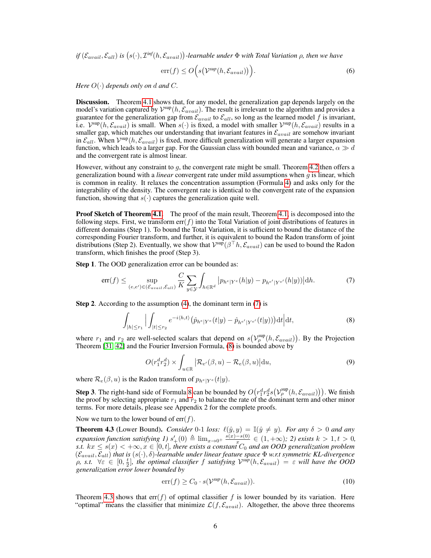$df(\mathcal{E}_{avail}, \mathcal{E}_{all})$  is  $(s(\cdot), \mathcal{I}^{inf}(h, \mathcal{E}_{avail}))$ -learnable under  $\Phi$  with Total Variation  $\rho$ , then we have

$$
\operatorname{err}(f) \le O\Big(s\big(\mathcal{V}^{\text{sup}}(h, \mathcal{E}_{avail})\big)\Big). \tag{6}
$$

*Here*  $O(·)$  *depends only on d and C*.

Discussion. Theorem [4.1](#page-4-1) shows that, for any model, the generalization gap depends largely on the model's variation captured by  $\mathcal{V}^{\text{sup}}(h, \mathcal{E}_{avail})$ . The result is irrelevant to the algorithm and provides a guarantee for the generalization gap from  $\mathcal{E}_{avail}$  to  $\mathcal{E}_{all}$ , so long as the learned model f is invariant, i.e.  $V^{\text{sup}}(h, \mathcal{E}_{avail})$  is small. When  $s(\cdot)$  is fixed, a model with smaller  $V^{\text{sup}}(h, \mathcal{E}_{avail})$  results in a smaller gap, which matches our understanding that invariant features in  $\mathcal{E}_{avail}$  are somehow invariant in  $\mathcal{E}_{all}$ . When  $\mathcal{V}^{\text{sup}}(h, \mathcal{E}_{avail})$  is fixed, more difficult generalization will generate a larger expansion function, which leads to a larger gap. For the Gaussian class with bounded mean and variance,  $\alpha \gg d$ and the convergent rate is almost linear.

However, without any constraint to q, the convergent rate might be small. Theorem [4.2](#page-4-2) then offers a generalization bound with a *linear* convergent rate under mild assumptions when g is linear, which is common in reality. It relaxes the concentration assumption (Formula [4\)](#page-4-4) and asks only for the integrability of the density. The convergent rate is identical to the convergent rate of the expansion function, showing that  $s(\cdot)$  captures the generalization quite well.

**Proof Sketch of Theorem [4.1.](#page-4-1)** The proof of the main result, Theorem [4.1,](#page-4-1) is decomposed into the following steps. First, we transform  $err(f)$  into the Total Variation of joint distributions of features in different domains (Step 1). To bound the Total Variation, it is sufficient to bound the distance of the corresponding Fourier transform, and further, it is equivalent to bound the Radon transform of joint distributions (Step 2). Eventually, we show that  $\mathcal{V}^{\text{sup}}(\beta^{\top}h, \mathcal{E}_{avail})$  can be used to bound the Radon transform, which finishes the proof (Step 3).

Step 1. The OOD generalization error can be bounded as:

<span id="page-5-1"></span>
$$
\text{err}(f) \le \sup_{(e,e') \in (\mathcal{E}_{avail}, \mathcal{E}_{all})} \frac{C}{K} \sum_{y \in \mathcal{Y}} \int_{h \in \mathbb{R}^d} \left| p_{h^e|Y^e}(h|y) - p_{h^{e'}|Y^{e'}}(h|y) \right| dh. \tag{7}
$$

Step 2. According to the assumption [\(4\)](#page-4-4), the dominant term in [\(7\)](#page-5-1) is

<span id="page-5-2"></span>
$$
\int_{|h| \le r_1} \Big| \int_{|t| \le r_2} e^{-i\langle h, t \rangle} \big(\hat{p}_{h^e|Y^e}(t|y) - \hat{p}_{h^{e'}|Y^{e'}}(t|y))\big) \mathrm{d}t \Big| \mathrm{d}t,\tag{8}
$$

where  $r_1$  and  $r_2$  are well-selected scalars that depend on  $s(V_\rho^{\text{sup}}(h, \mathcal{E}_{avail}))$ . By the Projection Theorem [\[31,](#page-10-8) [42\]](#page-11-4) and the Fourier Inversion Formula, [\(8\)](#page-5-2) is bounded above by

$$
O(r_1^d r_2^d) \times \int_{u \in \mathbb{R}} \left| \mathcal{R}_{e'}(\beta, u) - \mathcal{R}_e(\beta, u) \right| \mathrm{d}u,
$$
\n(9)

where  $\mathcal{R}_e(\beta, u)$  is the Radon transform of  $p_{h^e|Y^e}(t|y)$ .

**Step 3**. The right-hand side of Formula [8](#page-5-2) can be bounded by  $O(r_1^d r_2^d s(\mathcal{V}_\rho^{\text{sup}}(h,\mathcal{E}_{avail}))$ . We finish the proof by selecting appropriate  $r_1$  and  $r_2$  to balance the rate of the dominant term and other minor terms. For more details, please see Appendix 2 for the complete proofs.

Now we turn to the lower bound of  $err(f)$ .

<span id="page-5-0"></span>**Theorem 4.3** (Lower Bound). *Consider* 0-1 *loss:*  $\ell(\hat{y}, y) = \mathbb{I}(\hat{y} \neq y)$ *. For any*  $\delta > 0$  *and any expansion function satisfying 1)*  $s'_{+}(0) \triangleq \lim_{x\to 0^+} \frac{s(x)-s(0)}{x}$  $\frac{-s(0)}{x} \in (1, +\infty)$ ; 2) exists  $k > 1, t > 0$ , *s.t.*  $kx \le s(x) < +\infty$ ,  $x \in [0, t]$ , there exists a constant  $C_0$  and an OOD generalization problem (Eavail, Eall) *that is* (s(·), δ)*-learnable under linear feature space* Φ *w.r.t symmetric KL-divergence*  $\rho$ , s.t.  $\forall \varepsilon \in [0, \frac{t}{2}]$ , the optimal classifier f satisfying  $\mathcal{V}^{sup}(h, \mathcal{E}_{avail}) = \varepsilon$  will have the OOD *generalization error lower bounded by*

$$
\operatorname{err}(f) \ge C_0 \cdot s(\mathcal{V}^{\textit{sup}}(h, \mathcal{E}_{avail})). \tag{10}
$$

Theorem [4.3](#page-5-0) shows that  $err(f)$  of optimal classifier f is lower bounded by its variation. Here "optimal" means the classifier that minimize  $\mathcal{L}(f, \mathcal{E}_{avail})$ . Altogether, the above three theorems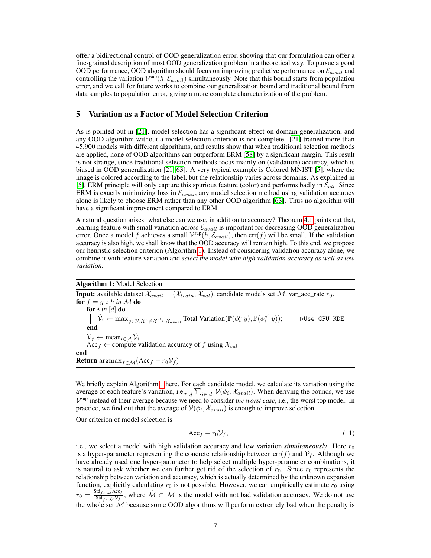offer a bidirectional control of OOD generalization error, showing that our formulation can offer a fine-grained description of most OOD generalization problem in a theoretical way. To pursue a good OOD performance, OOD algorithm should focus on improving predictive performance on  $\mathcal{E}_{avail}$  and controlling the variation  $\mathcal{V}^{\text{sup}}(h, \mathcal{E}_{avail})$  simultaneously. Note that this bound starts from population error, and we call for future works to combine our generalization bound and traditional bound from data samples to population error, giving a more complete characterization of the problem.

## <span id="page-6-0"></span>5 Variation as a Factor of Model Selection Criterion

As is pointed out in [\[21\]](#page-10-0), model selection has a significant effect on domain generalization, and any OOD algorithm without a model selection criterion is not complete. [\[21\]](#page-10-0) trained more than 45,900 models with different algorithms, and results show that when traditional selection methods are applied, none of OOD algorithms can outperform ERM [\[58\]](#page-11-5) by a significant margin. This result is not strange, since traditional selection methods focus mainly on (validation) accuracy, which is biased in OOD generalization [\[21,](#page-10-0) [63\]](#page-12-0). A very typical example is Colored MNIST [\[5\]](#page-9-3), where the image is colored according to the label, but the relationship varies across domains. As explained in [\[5\]](#page-9-3), ERM principle will only capture this spurious feature (color) and performs badly in  $\mathcal{E}_{all}$ . Since ERM is exactly minimizing loss in  $\mathcal{E}_{avail}$ , any model selection method using validation accuracy alone is likely to choose ERM rather than any other OOD algorithm [\[63\]](#page-12-0). Thus no algorithm will have a significant improvement compared to ERM.

A natural question arises: what else can we use, in addition to accuracy? Theorem [4.1](#page-4-1) points out that, learning feature with small variation across  $\mathcal{E}_{avail}$  is important for decreasing OOD generalization error. Once a model f achieves a small  $\mathcal{V}^{sup}(h, \mathcal{E}_{avail})$ , then err $(f)$  will be small. If the validation accuracy is also high, we shall know that the OOD accuracy will remain high. To this end, we propose our heuristic selection criterion (Algorithm [1\)](#page-6-1). Instead of considering validation accuracy alone, we combine it with feature variation and *select the model with high validation accuracy as well as low variation.*

#### Algorithm 1: Model Selection

**Input:** available dataset  $\mathcal{X}_{avail} = (\mathcal{X}_{train}, \mathcal{X}_{val})$ , candidate models set  $\mathcal{M}$ , var\_acc\_rate  $r_0$ . for  $f = g \circ h$  *in*  $M$  do for i *in* [d] do  $\hat{\mathcal{V}}_i \leftarrow \max_{y \in \mathcal{Y}, \mathcal{X}^e \neq \mathcal{X}^{e'} \in \mathcal{X}_{avail}}$  Total Variation( $\mathbb{P}(\phi_i^e | y), \mathbb{P}(\phi_i^{e'} | y)$ );  $\qquad \forall$ Use GPU KDE end  $\mathcal{V}_f \leftarrow \text{mean}_{i \in [d]} \hat{\mathcal{V}}_i$ <br>Acc<sub>f</sub>  $\leftarrow$  compute validation accuracy of f using  $\mathcal{X}_{val}$ end Return  $\arg\max_{f \in \mathcal{M}} (\text{Acc}_f - r_0 \mathcal{V}_f)$ 

We briefly explain Algorithm [1](#page-6-1) here. For each candidate model, we calculate its variation using the average of each feature's variation, i.e.,  $\frac{1}{d} \sum_{i \in [d]} \mathcal{V}(\phi_i, \mathcal{X}_{avail})$ . When deriving the bounds, we use V sup instead of their average because we need to consider *the worst case*, i.e., the worst top model. In practice, we find out that the average of  $\mathcal{V}(\phi_i, \mathcal{X}_{avail})$  is enough to improve selection.

Our criterion of model selection is

<span id="page-6-2"></span><span id="page-6-1"></span>
$$
Acc_f - r_0 \mathcal{V}_f, \tag{11}
$$

i.e., we select a model with high validation accuracy and low variation *simultaneously*. Here  $r_0$ is a hyper-parameter representing the concrete relationship between  $err(f)$  and  $V_f$ . Although we have already used one hyper-parameter to help select multiple hyper-parameter combinations, it is natural to ask whether we can further get rid of the selection of  $r_0$ . Since  $r_0$  represents the relationship between variation and accuracy, which is actually determined by the unknown expansion function, explicitly calculating  $r_0$  is not possible. However, we can empirically estimate  $r_0$  using  $r_0 = \frac{\text{Std}_{f \in \hat{\mathcal{M}}} \text{Acc}_f}{\text{Std}_{f \in \hat{\mathcal{N}}}}$  $\frac{d f_{f \in \hat{\mathcal{M}}} Acc_f}{\text{Std}_{f \in \hat{\mathcal{M}}} V_f}$ , where  $\hat{\mathcal{M}} \subset \mathcal{M}$  is the model with not bad validation accuracy. We do not use the whole set  $M$  because some OOD algorithms will perform extremely bad when the penalty is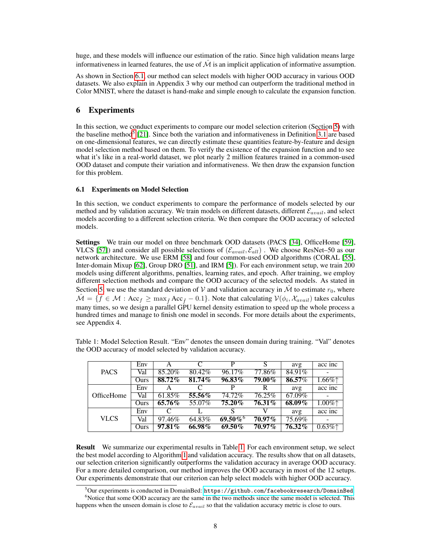huge, and these models will influence our estimation of the ratio. Since high validation means large informativeness in learned features, the use of  $\hat{\mathcal{M}}$  is an implicit application of informative assumption.

As shown in Section [6.1,](#page-7-1) our method can select models with higher OOD accuracy in various OOD datasets. We also explain in Appendix 3 why our method can outperform the traditional method in Color MNIST, where the dataset is hand-make and simple enough to calculate the expansion function.

# <span id="page-7-0"></span>6 Experiments

In this section, we conduct experiments to compare our model selection criterion (Section [5\)](#page-6-0) with the baseline method<sup>[5](#page-7-2)</sup> [\[21\]](#page-10-0). Since both the variation and informativeness in Definition [3.1](#page-2-0) are based on one-dimensional features, we can directly estimate these quantities feature-by-feature and design model selection method based on them. To verify the existence of the expansion function and to see what it's like in a real-world dataset, we plot nearly 2 million features trained in a common-used OOD dataset and compute their variation and informativeness. We then draw the expansion function for this problem.

#### <span id="page-7-1"></span>6.1 Experiments on Model Selection

In this section, we conduct experiments to compare the performance of models selected by our method and by validation accuracy. We train models on different datasets, different  $\mathcal{E}_{avail}$ , and select models according to a different selection criteria. We then compare the OOD accuracy of selected models.

Settings We train our model on three benchmark OOD datasets (PACS [\[34\]](#page-10-9), OfficeHome [\[59\]](#page-12-1), VLCS [\[57\]](#page-11-6)) and consider all possible selections of  $(\mathcal{E}_{avail}, \mathcal{E}_{all})$ . We choose ResNet–50 as our network architecture. We use ERM [\[58\]](#page-11-5) and four common-used OOD algorithms (CORAL [\[55\]](#page-11-3), Inter-domain Mixup [\[62\]](#page-12-2), Group DRO [\[51\]](#page-11-7), and IRM [\[5\]](#page-9-3)). For each environment setup, we train 200 models using different algorithms, penalties, learning rates, and epoch. After training, we employ different selection methods and compare the OOD accuracy of the selected models. As stated in Section [5,](#page-6-0) we use the standard deviation of V and validation accuracy in  $\hat{\mathcal{M}}$  to estimate  $r_0$ , where  $\hat{\mathcal{M}} = \{f \in \mathcal{M} : \text{Acc}_f \ge \max_{\hat{f}} \text{Acc}_{\hat{f}} - 0.1\}.$  Note that calculating  $\mathcal{V}(\phi_i, \mathcal{X}_{avail})$  takes calculus many times, so we design a parallel GPU kernel density estimation to speed up the whole process a hundred times and manage to finish one model in seconds. For more details about the experiments, see Appendix 4.

<span id="page-7-3"></span>Table 1: Model Selection Result. "Env" denotes the unseen domain during training. "Val" denotes the OOD accuracy of model selected by validation accuracy.

| <b>PACS</b> | Env  |        |        | P                      | S         | avg       | acc inc                                  |
|-------------|------|--------|--------|------------------------|-----------|-----------|------------------------------------------|
|             | Val  | 85.20% | 80.42% | 96.17%                 | 77.86%    | 84.91%    |                                          |
|             | Ours | 88.72% | 81.74% | $96.83\%$              | 79.00%    | 86.57%    | $1.66\%$                                 |
| OfficeHome  | Env  |        |        | р                      | R         | avg       | acc inc                                  |
|             | Val  | 61.85% | 55.56% | 74.72%                 | 76.25%    | 67.09%    |                                          |
|             | Ours | 65.76% | 55.07% | $75.20\%$              | $76.31\%$ | $68.09\%$ | $1.00\%$ <sup><math>\dagger</math></sup> |
| <b>VLCS</b> | Env  |        |        | S                      |           | avg       | acc inc                                  |
|             | Val  | 97.46% | 64.83% | $69.50\%$ <sup>6</sup> | 70.97%    | 75.69%    |                                          |
|             | Ours | 97.81% | 66.98% | $69.50\%$              | $70.97\%$ | $76.32\%$ | $0.63\%$                                 |

Result We summarize our experimental results in Table [1.](#page-7-3) For each environment setup, we select the best model according to Algorithm [1](#page-6-1) and validation accuracy. The results show that on all datasets, our selection criterion significantly outperforms the validation accuracy in average OOD accuracy. For a more detailed comparison, our method improves the OOD accuracy in most of the 12 setups. Our experiments demonstrate that our criterion can help select models with higher OOD accuracy.

<span id="page-7-2"></span> $5$ Our experiments is conducted in DomainBed: <https://github.com/facebookresearch/DomainBed>.

 $6$ Notice that some OOD accuracy are the same in the two methods since the same model is selected. This happens when the unseen domain is close to  $\mathcal{E}_{avail}$  so that the validation accuracy metric is close to ours.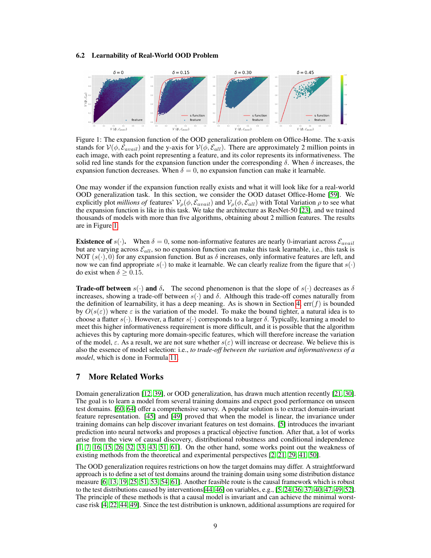#### <span id="page-8-1"></span>6.2 Learnability of Real-World OOD Problem

<span id="page-8-2"></span>

Figure 1: The expansion function of the OOD generalization problem on Office-Home. The x-axis stands for  $V(\phi, \mathcal{E}_{avail})$  and the y-axis for  $V(\phi, \mathcal{E}_{all})$ . There are approximately 2 million points in each image, with each point representing a feature, and its color represents its informativeness. The solid red line stands for the expansion function under the corresponding  $\delta$ . When  $\delta$  increases, the expansion function decreases. When  $\delta = 0$ , no expansion function can make it learnable.

One may wonder if the expansion function really exists and what it will look like for a real-world OOD generalization task. In this section, we consider the OOD dataset Office-Home [\[59\]](#page-12-1). We explicitly plot *millions of* features'  $V_{\rho}(\phi, \mathcal{E}_{avail})$  and  $V_{\rho}(\phi, \mathcal{E}_{all})$  with Total Variation  $\rho$  to see what the expansion function is like in this task. We take the architecture as ResNet-50 [\[23\]](#page-10-10), and we trained thousands of models with more than five algorithms, obtaining about 2 million features. The results are in Figure [1.](#page-8-2)

**Existence of**  $s(\cdot)$ . When  $\delta = 0$ , some non-informative features are nearly 0-invariant across  $\mathcal{E}_{avail}$ but are varying across  $\mathcal{E}_{all}$ , so no expansion function can make this task learnable, i.e., this task is NOT  $(s(\cdot), 0)$  for any expansion function. But as  $\delta$  increases, only informative features are left, and now we can find appropriate  $s(\cdot)$  to make it learnable. We can clearly realize from the figure that  $s(\cdot)$ do exist when  $\delta > 0.15$ .

**Trade-off between**  $s(\cdot)$  and  $\delta$ . The second phenomenon is that the slope of  $s(\cdot)$  decreases as  $\delta$ increases, showing a trade-off between  $s(\cdot)$  and  $\delta$ . Although this trade-off comes naturally from the definition of learnability, it has a deep meaning. As is shown in Section [4,](#page-4-0)  $err(f)$  is bounded by  $O(s(\varepsilon))$  where  $\varepsilon$  is the variation of the model. To make the bound tighter, a natural idea is to choose a flatter  $s(\cdot)$ . However, a flatter  $s(\cdot)$  corresponds to a larger  $\delta$ . Typically, learning a model to meet this higher informativeness requirement is more difficult, and it is possible that the algorithm achieves this by capturing more domain-specific features, which will therefore increase the variation of the model,  $\varepsilon$ . As a result, we are not sure whether  $s(\varepsilon)$  will increase or decrease. We believe this is also the essence of model selection: i.e., *to trade-off between the variation and informativeness of a model*, which is done in Formula [11.](#page-6-2)

#### <span id="page-8-0"></span>7 More Related Works

Domain generalization [\[12,](#page-9-7) [39\]](#page-11-8), or OOD generalization, has drawn much attention recently [\[21,](#page-10-0) [30\]](#page-10-11). The goal is to learn a model from several training domains and expect good performance on unseen test domains. [\[60,](#page-12-3) [64\]](#page-12-4) offer a comprehensive survey. A popular solution is to extract domain-invariant feature representation. [\[45\]](#page-11-9) and [\[49\]](#page-11-10) proved that when the model is linear, the invariance under training domains can help discover invariant features on test domains. [\[5\]](#page-9-3) introduces the invariant prediction into neural networks and proposes a practical objective function. After that, a lot of works arise from the view of causal discovery, distributional robustness and conditional independence [\[1,](#page-9-4) [7,](#page-9-8) [16,](#page-10-6) [15,](#page-10-12) [26,](#page-10-13) [32,](#page-10-4) [33,](#page-10-5) [43,](#page-11-11) [51,](#page-11-7) [61\]](#page-12-5). On the other hand, some works point out the weakness of existing methods from the theoretical and experimental perspectives [\[2,](#page-9-9) [21,](#page-10-0) [29,](#page-10-14) [41,](#page-11-12) [50\]](#page-11-13).

The OOD generalization requires restrictions on how the target domains may differ. A straightforward approach is to define a set of test domains around the training domain using some distribution distance measure [\[6,](#page-9-10) [13,](#page-9-11) [19,](#page-10-15) [25,](#page-10-16) [51,](#page-11-7) [53,](#page-11-14) [54,](#page-11-15) [61\]](#page-12-5). Another feasible route is the causal framework which is robust to the test distributions caused by interventions[\[44,](#page-11-16) [46\]](#page-11-17) on variables, e.g., [\[5,](#page-9-3) [24,](#page-10-17) [36,](#page-11-18) [37,](#page-11-19) [40,](#page-11-20) [47,](#page-11-21) [49,](#page-11-10) [52\]](#page-11-22). The principle of these methods is that a causal model is invariant and can achieve the minimal worstcase risk [\[4,](#page-9-12) [22,](#page-10-18) [44,](#page-11-16) [49\]](#page-11-10). Since the test distribution is unknown, additional assumptions are required for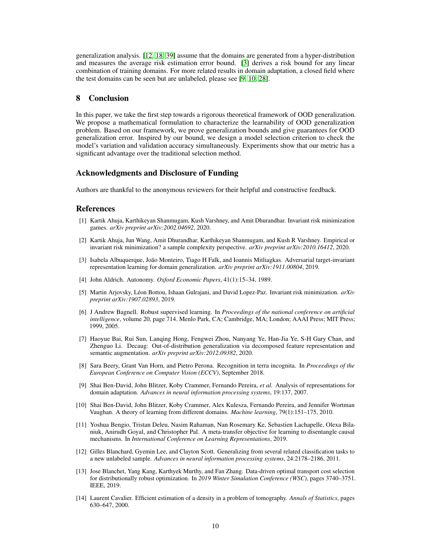generalization analysis. [\[12,](#page-9-7) [18,](#page-10-19) [39\]](#page-11-8) assume that the domains are generated from a hyper-distribution and measures the average risk estimation error bound. [\[3\]](#page-9-13) derives a risk bound for any linear combination of training domains. For more related results in domain adaptation, a closed field where the test domains can be seen but are unlabeled, please see [\[9,](#page-9-14) [10,](#page-9-1) [28\]](#page-10-20).

# <span id="page-9-5"></span>8 Conclusion

In this paper, we take the first step towards a rigorous theoretical framework of OOD generalization. We propose a mathematical formulation to characterize the learnability of OOD generalization problem. Based on our framework, we prove generalization bounds and give guarantees for OOD generalization error. Inspired by our bound, we design a model selection criterion to check the model's variation and validation accuracy simultaneously. Experiments show that our metric has a significant advantage over the traditional selection method.

## Acknowledgments and Disclosure of Funding

Authors are thankful to the anonymous reviewers for their helpful and constructive feedback.

# References

- <span id="page-9-4"></span>[1] Kartik Ahuja, Karthikeyan Shanmugam, Kush Varshney, and Amit Dhurandhar. Invariant risk minimization games. *arXiv preprint arXiv:2002.04692*, 2020.
- <span id="page-9-9"></span>[2] Kartik Ahuja, Jun Wang, Amit Dhurandhar, Karthikeyan Shanmugam, and Kush R Varshney. Empirical or invariant risk minimization? a sample complexity perspective. *arXiv preprint arXiv:2010.16412*, 2020.
- <span id="page-9-13"></span>[3] Isabela Albuquerque, João Monteiro, Tiago H Falk, and Ioannis Mitliagkas. Adversarial target-invariant representation learning for domain generalization. *arXiv preprint arXiv:1911.00804*, 2019.
- <span id="page-9-12"></span>[4] John Aldrich. Autonomy. *Oxford Economic Papers*, 41(1):15–34, 1989.
- <span id="page-9-3"></span>[5] Martin Arjovsky, Léon Bottou, Ishaan Gulrajani, and David Lopez-Paz. Invariant risk minimization. *arXiv preprint arXiv:1907.02893*, 2019.
- <span id="page-9-10"></span>[6] J Andrew Bagnell. Robust supervised learning. In *Proceedings of the national conference on artificial intelligence*, volume 20, page 714. Menlo Park, CA; Cambridge, MA; London; AAAI Press; MIT Press; 1999, 2005.
- <span id="page-9-8"></span>[7] Haoyue Bai, Rui Sun, Lanqing Hong, Fengwei Zhou, Nanyang Ye, Han-Jia Ye, S-H Gary Chan, and Zhenguo Li. Decaug: Out-of-distribution generalization via decomposed feature representation and semantic augmentation. *arXiv preprint arXiv:2012.09382*, 2020.
- <span id="page-9-0"></span>[8] Sara Beery, Grant Van Horn, and Pietro Perona. Recognition in terra incognita. In *Proceedings of the European Conference on Computer Vision (ECCV)*, September 2018.
- <span id="page-9-14"></span>[9] Shai Ben-David, John Blitzer, Koby Crammer, Fernando Pereira, *et al.* Analysis of representations for domain adaptation. *Advances in neural information processing systems*, 19:137, 2007.
- <span id="page-9-1"></span>[10] Shai Ben-David, John Blitzer, Koby Crammer, Alex Kulesza, Fernando Pereira, and Jennifer Wortman Vaughan. A theory of learning from different domains. *Machine learning*, 79(1):151–175, 2010.
- <span id="page-9-2"></span>[11] Yoshua Bengio, Tristan Deleu, Nasim Rahaman, Nan Rosemary Ke, Sebastien Lachapelle, Olexa Bilaniuk, Anirudh Goyal, and Christopher Pal. A meta-transfer objective for learning to disentangle causal mechanisms. In *International Conference on Learning Representations*, 2019.
- <span id="page-9-7"></span>[12] Gilles Blanchard, Gyemin Lee, and Clayton Scott. Generalizing from several related classification tasks to a new unlabeled sample. *Advances in neural information processing systems*, 24:2178–2186, 2011.
- <span id="page-9-11"></span>[13] Jose Blanchet, Yang Kang, Karthyek Murthy, and Fan Zhang. Data-driven optimal transport cost selection for distributionally robust optimization. In *2019 Winter Simulation Conference (WSC)*, pages 3740–3751. IEEE, 2019.
- <span id="page-9-6"></span>[14] Laurent Cavalier. Efficient estimation of a density in a problem of tomography. *Annals of Statistics*, pages 630–647, 2000.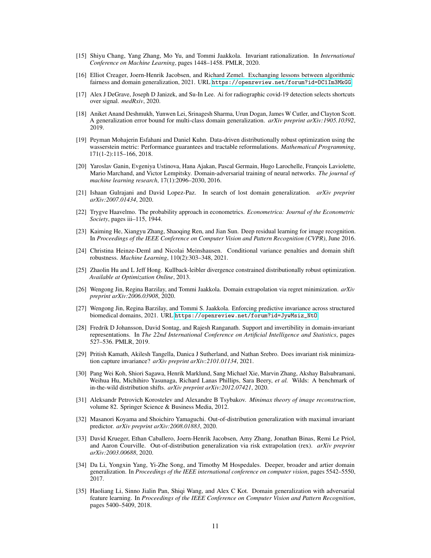- <span id="page-10-12"></span>[15] Shiyu Chang, Yang Zhang, Mo Yu, and Tommi Jaakkola. Invariant rationalization. In *International Conference on Machine Learning*, pages 1448–1458. PMLR, 2020.
- <span id="page-10-6"></span>[16] Elliot Creager, Joern-Henrik Jacobsen, and Richard Zemel. Exchanging lessons between algorithmic fairness and domain generalization, 2021. URL <https://openreview.net/forum?id=DC1Im3MkGG>.
- <span id="page-10-1"></span>[17] Alex J DeGrave, Joseph D Janizek, and Su-In Lee. Ai for radiographic covid-19 detection selects shortcuts over signal. *medRxiv*, 2020.
- <span id="page-10-19"></span>[18] Aniket Anand Deshmukh, Yunwen Lei, Srinagesh Sharma, Urun Dogan, James W Cutler, and Clayton Scott. A generalization error bound for multi-class domain generalization. *arXiv preprint arXiv:1905.10392*, 2019.
- <span id="page-10-15"></span>[19] Peyman Mohajerin Esfahani and Daniel Kuhn. Data-driven distributionally robust optimization using the wasserstein metric: Performance guarantees and tractable reformulations. *Mathematical Programming*, 171(1-2):115–166, 2018.
- <span id="page-10-2"></span>[20] Yaroslav Ganin, Evgeniya Ustinova, Hana Ajakan, Pascal Germain, Hugo Larochelle, François Laviolette, Mario Marchand, and Victor Lempitsky. Domain-adversarial training of neural networks. *The journal of machine learning research*, 17(1):2096–2030, 2016.
- <span id="page-10-0"></span>[21] Ishaan Gulrajani and David Lopez-Paz. In search of lost domain generalization. *arXiv preprint arXiv:2007.01434*, 2020.
- <span id="page-10-18"></span>[22] Trygve Haavelmo. The probability approach in econometrics. *Econometrica: Journal of the Econometric Society*, pages iii–115, 1944.
- <span id="page-10-10"></span>[23] Kaiming He, Xiangyu Zhang, Shaoqing Ren, and Jian Sun. Deep residual learning for image recognition. In *Proceedings of the IEEE Conference on Computer Vision and Pattern Recognition (CVPR)*, June 2016.
- <span id="page-10-17"></span>[24] Christina Heinze-Deml and Nicolai Meinshausen. Conditional variance penalties and domain shift robustness. *Machine Learning*, 110(2):303–348, 2021.
- <span id="page-10-16"></span>[25] Zhaolin Hu and L Jeff Hong. Kullback-leibler divergence constrained distributionally robust optimization. *Available at Optimization Online*, 2013.
- <span id="page-10-13"></span>[26] Wengong Jin, Regina Barzilay, and Tommi Jaakkola. Domain extrapolation via regret minimization. *arXiv preprint arXiv:2006.03908*, 2020.
- <span id="page-10-7"></span>[27] Wengong Jin, Regina Barzilay, and Tommi S. Jaakkola. Enforcing predictive invariance across structured biomedical domains, 2021. URL [https://openreview.net/forum?id=JywMsiz\\_NtO](https://openreview.net/forum?id=JywMsiz_NtO).
- <span id="page-10-20"></span>[28] Fredrik D Johansson, David Sontag, and Rajesh Ranganath. Support and invertibility in domain-invariant representations. In *The 22nd International Conference on Artificial Intelligence and Statistics*, pages 527–536. PMLR, 2019.
- <span id="page-10-14"></span>[29] Pritish Kamath, Akilesh Tangella, Danica J Sutherland, and Nathan Srebro. Does invariant risk minimization capture invariance? *arXiv preprint arXiv:2101.01134*, 2021.
- <span id="page-10-11"></span>[30] Pang Wei Koh, Shiori Sagawa, Henrik Marklund, Sang Michael Xie, Marvin Zhang, Akshay Balsubramani, Weihua Hu, Michihiro Yasunaga, Richard Lanas Phillips, Sara Beery, *et al.* Wilds: A benchmark of in-the-wild distribution shifts. *arXiv preprint arXiv:2012.07421*, 2020.
- <span id="page-10-8"></span>[31] Aleksandr Petrovich Korostelev and Alexandre B Tsybakov. *Minimax theory of image reconstruction*, volume 82. Springer Science & Business Media, 2012.
- <span id="page-10-4"></span>[32] Masanori Koyama and Shoichiro Yamaguchi. Out-of-distribution generalization with maximal invariant predictor. *arXiv preprint arXiv:2008.01883*, 2020.
- <span id="page-10-5"></span>[33] David Krueger, Ethan Caballero, Joern-Henrik Jacobsen, Amy Zhang, Jonathan Binas, Remi Le Priol, and Aaron Courville. Out-of-distribution generalization via risk extrapolation (rex). *arXiv preprint arXiv:2003.00688*, 2020.
- <span id="page-10-9"></span>[34] Da Li, Yongxin Yang, Yi-Zhe Song, and Timothy M Hospedales. Deeper, broader and artier domain generalization. In *Proceedings of the IEEE international conference on computer vision*, pages 5542–5550, 2017.
- <span id="page-10-3"></span>[35] Haoliang Li, Sinno Jialin Pan, Shiqi Wang, and Alex C Kot. Domain generalization with adversarial feature learning. In *Proceedings of the IEEE Conference on Computer Vision and Pattern Recognition*, pages 5400–5409, 2018.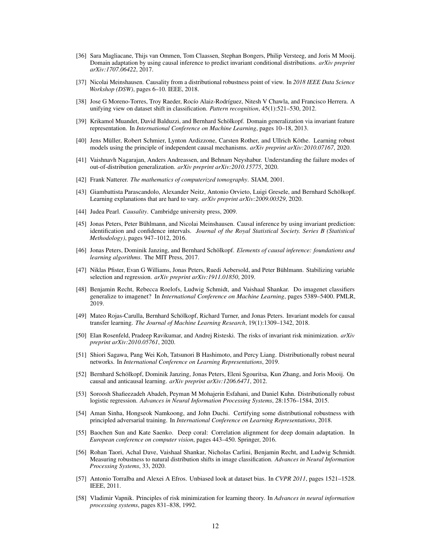- <span id="page-11-18"></span>[36] Sara Magliacane, Thijs van Ommen, Tom Claassen, Stephan Bongers, Philip Versteeg, and Joris M Mooij. Domain adaptation by using causal inference to predict invariant conditional distributions. *arXiv preprint arXiv:1707.06422*, 2017.
- <span id="page-11-19"></span>[37] Nicolai Meinshausen. Causality from a distributional robustness point of view. In *2018 IEEE Data Science Workshop (DSW)*, pages 6–10. IEEE, 2018.
- <span id="page-11-0"></span>[38] Jose G Moreno-Torres, Troy Raeder, Rocío Alaiz-Rodríguez, Nitesh V Chawla, and Francisco Herrera. A unifying view on dataset shift in classification. *Pattern recognition*, 45(1):521–530, 2012.
- <span id="page-11-8"></span>[39] Krikamol Muandet, David Balduzzi, and Bernhard Schölkopf. Domain generalization via invariant feature representation. In *International Conference on Machine Learning*, pages 10–18, 2013.
- <span id="page-11-20"></span>[40] Jens Müller, Robert Schmier, Lynton Ardizzone, Carsten Rother, and Ullrich Köthe. Learning robust models using the principle of independent causal mechanisms. *arXiv preprint arXiv:2010.07167*, 2020.
- <span id="page-11-12"></span>[41] Vaishnavh Nagarajan, Anders Andreassen, and Behnam Neyshabur. Understanding the failure modes of out-of-distribution generalization. *arXiv preprint arXiv:2010.15775*, 2020.
- <span id="page-11-4"></span>[42] Frank Natterer. *The mathematics of computerized tomography*. SIAM, 2001.
- <span id="page-11-11"></span>[43] Giambattista Parascandolo, Alexander Neitz, Antonio Orvieto, Luigi Gresele, and Bernhard Schölkopf. Learning explanations that are hard to vary. *arXiv preprint arXiv:2009.00329*, 2020.
- <span id="page-11-16"></span>[44] Judea Pearl. *Causality*. Cambridge university press, 2009.
- <span id="page-11-9"></span>[45] Jonas Peters, Peter Bühlmann, and Nicolai Meinshausen. Causal inference by using invariant prediction: identification and confidence intervals. *Journal of the Royal Statistical Society. Series B (Statistical Methodology)*, pages 947–1012, 2016.
- <span id="page-11-17"></span>[46] Jonas Peters, Dominik Janzing, and Bernhard Schölkopf. *Elements of causal inference: foundations and learning algorithms*. The MIT Press, 2017.
- <span id="page-11-21"></span>[47] Niklas Pfister, Evan G Williams, Jonas Peters, Ruedi Aebersold, and Peter Bühlmann. Stabilizing variable selection and regression. *arXiv preprint arXiv:1911.01850*, 2019.
- <span id="page-11-1"></span>[48] Benjamin Recht, Rebecca Roelofs, Ludwig Schmidt, and Vaishaal Shankar. Do imagenet classifiers generalize to imagenet? In *International Conference on Machine Learning*, pages 5389–5400. PMLR, 2019.
- <span id="page-11-10"></span>[49] Mateo Rojas-Carulla, Bernhard Schölkopf, Richard Turner, and Jonas Peters. Invariant models for causal transfer learning. *The Journal of Machine Learning Research*, 19(1):1309–1342, 2018.
- <span id="page-11-13"></span>[50] Elan Rosenfeld, Pradeep Ravikumar, and Andrej Risteski. The risks of invariant risk minimization. *arXiv preprint arXiv:2010.05761*, 2020.
- <span id="page-11-7"></span>[51] Shiori Sagawa, Pang Wei Koh, Tatsunori B Hashimoto, and Percy Liang. Distributionally robust neural networks. In *International Conference on Learning Representations*, 2019.
- <span id="page-11-22"></span>[52] Bernhard Schölkopf, Dominik Janzing, Jonas Peters, Eleni Sgouritsa, Kun Zhang, and Joris Mooij. On causal and anticausal learning. *arXiv preprint arXiv:1206.6471*, 2012.
- <span id="page-11-14"></span>[53] Soroosh Shafieezadeh Abadeh, Peyman M Mohajerin Esfahani, and Daniel Kuhn. Distributionally robust logistic regression. *Advances in Neural Information Processing Systems*, 28:1576–1584, 2015.
- <span id="page-11-15"></span>[54] Aman Sinha, Hongseok Namkoong, and John Duchi. Certifying some distributional robustness with principled adversarial training. In *International Conference on Learning Representations*, 2018.
- <span id="page-11-3"></span>[55] Baochen Sun and Kate Saenko. Deep coral: Correlation alignment for deep domain adaptation. In *European conference on computer vision*, pages 443–450. Springer, 2016.
- <span id="page-11-2"></span>[56] Rohan Taori, Achal Dave, Vaishaal Shankar, Nicholas Carlini, Benjamin Recht, and Ludwig Schmidt. Measuring robustness to natural distribution shifts in image classification. *Advances in Neural Information Processing Systems*, 33, 2020.
- <span id="page-11-6"></span>[57] Antonio Torralba and Alexei A Efros. Unbiased look at dataset bias. In *CVPR 2011*, pages 1521–1528. IEEE, 2011.
- <span id="page-11-5"></span>[58] Vladimir Vapnik. Principles of risk minimization for learning theory. In *Advances in neural information processing systems*, pages 831–838, 1992.